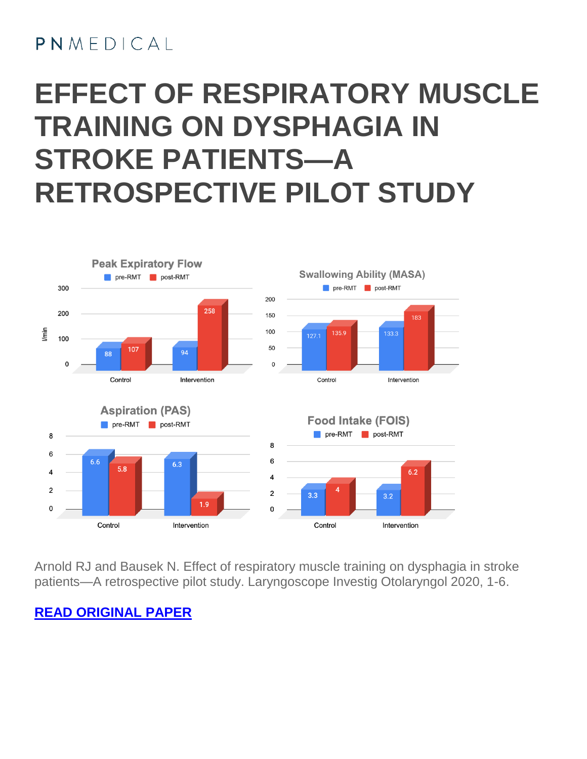### $PMMFDICA$

### **EFFECT OF RESPIRATORY MUSCLE TRAINING ON DYSPHAGIA IN STROKE PATIENTS—A RETROSPECTIVE PILOT STUDY**



Arnold RJ and Bausek N. Effect of respiratory muscle training on dysphagia in stroke patients—A retrospective pilot study. Laryngoscope Investig Otolaryngol 2020, 1-6.

#### **READ [ORIGINAL](https://onlinelibrary.wiley.com/doi/10.1002/lio2.483) PAPER**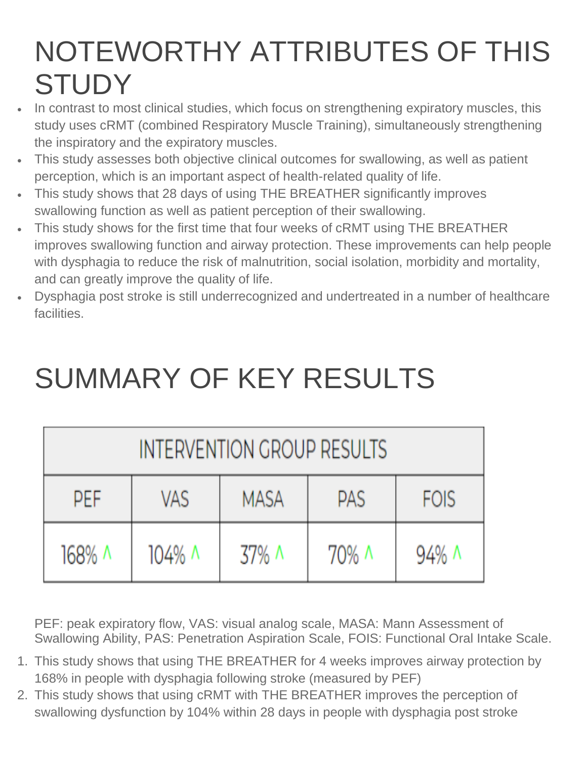# NOTEWORTHY ATTRIBUTES OF THIS **STUDY**

- In contrast to most clinical studies, which focus on strengthening expiratory muscles, this study uses cRMT (combined Respiratory Muscle Training), simultaneously strengthening the inspiratory and the expiratory muscles.
- This study assesses both objective clinical outcomes for swallowing, as well as patient perception, which is an important aspect of health-related quality of life.
- This study shows that 28 days of using THE BREATHER significantly improves swallowing function as well as patient perception of their swallowing.
- This study shows for the first time that four weeks of cRMT using THE BREATHER improves swallowing function and airway protection. These improvements can help people with dysphagia to reduce the risk of malnutrition, social isolation, morbidity and mortality, and can greatly improve the quality of life.
- Dysphagia post stroke is still underrecognized and undertreated in a number of healthcare facilities.

## SUMMARY OF KEY RESULTS

| INTERVENTION GROUP RESULTS |        |             |            |             |  |  |  |  |  |
|----------------------------|--------|-------------|------------|-------------|--|--|--|--|--|
| PEF                        | VAS    | <b>MASA</b> | <b>PAS</b> | <b>FOIS</b> |  |  |  |  |  |
| 168% ^                     | 104% ^ | 37% A       | 70% ^      | 94% ^       |  |  |  |  |  |

PEF: peak expiratory flow, VAS: visual analog scale, MASA: Mann Assessment of Swallowing Ability, PAS: Penetration Aspiration Scale, FOIS: Functional Oral Intake Scale.

- 1. This study shows that using THE BREATHER for 4 weeks improves airway protection by 168% in people with dysphagia following stroke (measured by PEF)
- 2. This study shows that using cRMT with THE BREATHER improves the perception of swallowing dysfunction by 104% within 28 days in people with dysphagia post stroke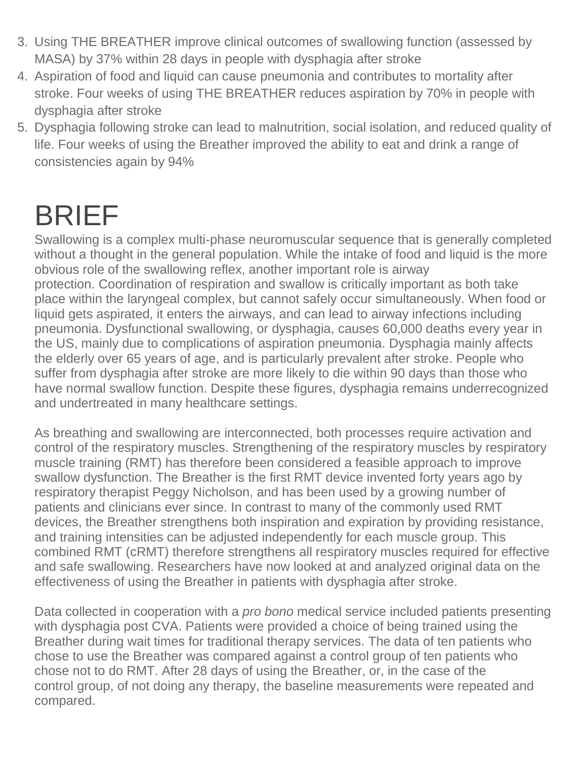- 3. Using THE BREATHER improve clinical outcomes of swallowing function (assessed by MASA) by 37% within 28 days in people with dysphagia after stroke
- 4. Aspiration of food and liquid can cause pneumonia and contributes to mortality after stroke. Four weeks of using THE BREATHER reduces aspiration by 70% in people with dysphagia after stroke
- 5. Dysphagia following stroke can lead to malnutrition, social isolation, and reduced quality of life. Four weeks of using the Breather improved the ability to eat and drink a range of consistencies again by 94%

## BRIEF

Swallowing is a complex multi-phase neuromuscular sequence that is generally completed without a thought in the general population. While the intake of food and liquid is the more obvious role of the swallowing reflex, another important role is airway protection. Coordination of respiration and swallow is critically important as both take place within the laryngeal complex, but cannot safely occur simultaneously. When food or liquid gets aspirated, it enters the airways, and can lead to airway infections including pneumonia. Dysfunctional swallowing, or dysphagia, causes 60,000 deaths every year in the US, mainly due to complications of aspiration pneumonia. Dysphagia mainly affects the elderly over 65 years of age, and is particularly prevalent after stroke. People who suffer from dysphagia after stroke are more likely to die within 90 days than those who have normal swallow function. Despite these figures, dysphagia remains underrecognized and undertreated in many healthcare settings.

As breathing and swallowing are interconnected, both processes require activation and control of the respiratory muscles. Strengthening of the respiratory muscles by respiratory muscle training (RMT) has therefore been considered a feasible approach to improve swallow dysfunction. The Breather is the first RMT device invented forty years ago by respiratory therapist Peggy Nicholson, and has been used by a growing number of patients and clinicians ever since. In contrast to many of the commonly used RMT devices, the Breather strengthens both inspiration and expiration by providing resistance, and training intensities can be adjusted independently for each muscle group. This combined RMT (cRMT) therefore strengthens all respiratory muscles required for effective and safe swallowing. Researchers have now looked at and analyzed original data on the effectiveness of using the Breather in patients with dysphagia after stroke.

Data collected in cooperation with a *pro bono* medical service included patients presenting with dysphagia post CVA. Patients were provided a choice of being trained using the Breather during wait times for traditional therapy services. The data of ten patients who chose to use the Breather was compared against a control group of ten patients who chose not to do RMT. After 28 days of using the Breather, or, in the case of the control group, of not doing any therapy, the baseline measurements were repeated and compared.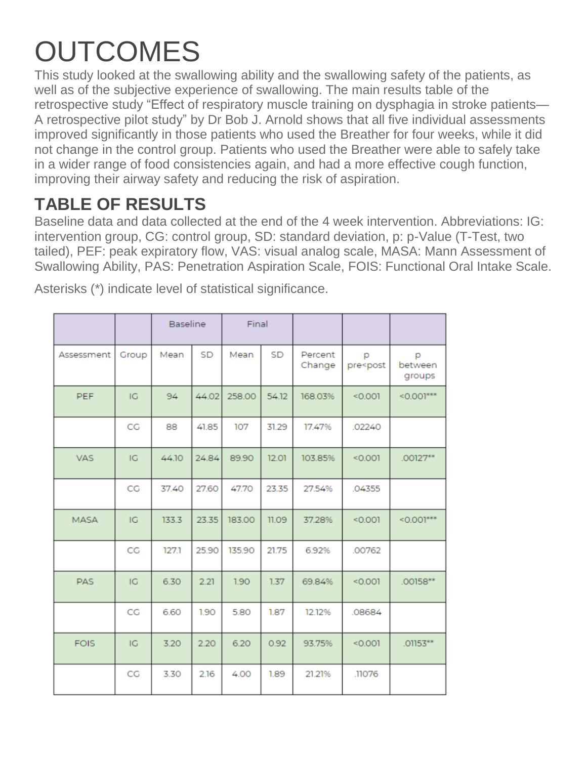# **OUTCOMES**

This study looked at the swallowing ability and the swallowing safety of the patients, as well as of the subjective experience of swallowing. The main results table of the retrospective study "Effect of respiratory muscle training on dysphagia in stroke patients— A retrospective pilot study" by Dr Bob J. Arnold shows that all five individual assessments improved significantly in those patients who used the Breather for four weeks, while it did not change in the control group. Patients who used the Breather were able to safely take in a wider range of food consistencies again, and had a more effective cough function, improving their airway safety and reducing the risk of aspiration.

### **TABLE OF RESULTS**

Baseline data and data collected at the end of the 4 week intervention. Abbreviations: IG: intervention group, CG: control group, SD: standard deviation, p: p-Value (T-Test, two tailed), PEF: peak expiratory flow, VAS: visual analog scale, MASA: Mann Assessment of Swallowing Ability, PAS: Penetration Aspiration Scale, FOIS: Functional Oral Intake Scale.

|             |       | <b>Baseline</b> |           | Final  |       |                   |                                                                 |                        |
|-------------|-------|-----------------|-----------|--------|-------|-------------------|-----------------------------------------------------------------|------------------------|
| Assessment  | Group | Mean            | <b>SD</b> | Mean   | SD    | Percent<br>Change | p<br>pre <post< td=""><td>p<br/>between<br/>groups</td></post<> | p<br>between<br>groups |
| PEF         | IG    | 94              | 44.02     | 258.00 | 54.12 | 168.03%           | < 0.001                                                         | $< 0.001***$           |
|             | CG    | 88              | 41.85     | 107    | 31.29 | 17.47%            | .02240                                                          |                        |
| <b>VAS</b>  | IG    | 44.10           | 24.84     | 89.90  | 12.01 | 103.85%           | < 0.001                                                         | .00127**               |
|             | CG    | 37.40           | 27.60     | 47.70  | 23.35 | 27.54%            | .04355                                                          |                        |
| <b>MASA</b> | IG    | 133.3           | 23.35     | 183.00 | 11.09 | 37.28%            | < 0.001                                                         | $< 0.001***$           |
|             | CG    | 127.1           | 25.90     | 135.90 | 21.75 | 6.92%             | .00762                                                          |                        |
| <b>PAS</b>  | IG    | 6.30            | 2.21      | 1.90   | 1.37  | 69.84%            | < 0.001                                                         | .00158**               |
|             | CG    | 6.60            | 1.90      | 5.80   | 1.87  | 12.12%            | .08684                                                          |                        |
| <b>FOIS</b> | IG    | 3.20            | 2.20      | 6.20   | 0.92  | 93.75%            | < 0.001                                                         | .01153**               |
|             | CG    | 3.30            | 2.16      | 4.00   | 1.89  | 21.21%            | .11076                                                          |                        |

Asterisks (\*) indicate level of statistical significance.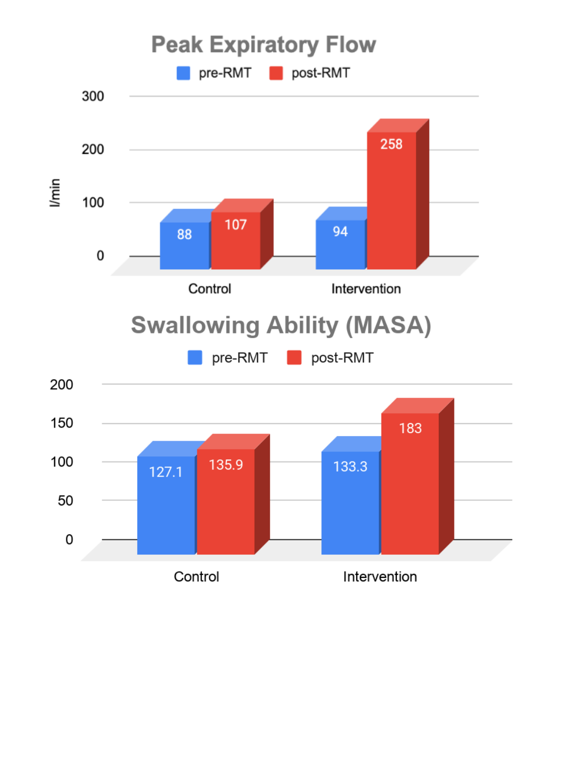